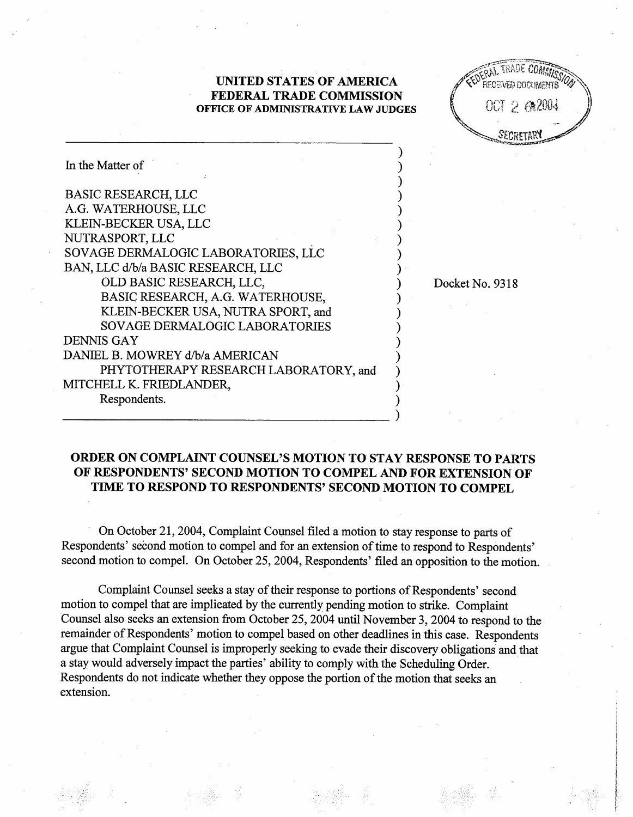## **UNITED STATES OF AMERICA FEDERAL TRADE COMMISSION OFFICE OF ADMINISTRATIVE LAW JUDGES**

0012642004 Secretar

| In the Matter of                      |  |
|---------------------------------------|--|
| <b>BASIC RESEARCH, LLC</b>            |  |
| A.G. WATERHOUSE, LLC                  |  |
| KLEIN-BECKER USA, LLC                 |  |
| NUTRASPORT, LLC                       |  |
| SOVAGE DERMALOGIC LABORATORIES, LLC   |  |
| BAN, LLC d/b/a BASIC RESEARCH, LLC    |  |
| OLD BASIC RESEARCH, LLC,              |  |
| BASIC RESEARCH, A.G. WATERHOUSE,      |  |
| KLEIN-BECKER USA, NUTRA SPORT, and    |  |
| <b>SOVAGE DERMALOGIC LABORATORIES</b> |  |
| <b>DENNIS GAY</b>                     |  |
| DANIEL B. MOWREY d/b/a AMERICAN       |  |
| PHYTOTHERAPY RESEARCH LABORATORY, and |  |
| MITCHELL K. FRIEDLANDER,              |  |
| Respondents.                          |  |
|                                       |  |

Docket No. 9318

## **ORDER ON COMPLAINT COUNSEL'S MOTION TO STAY RESPONSE TO PARTS OF RESPONDENTS' SECOND MOTION TO COMPEL AND FOR EXTENSION OF TIME TO RESPOND TO RESPONDENTS' SECOND MOTION TO COMPEL**

On October 21,2004, Complaint Counsel filed a motion to stay response to parts of Respondents' second motion to compel and for an extension of time to respond to Respondents' second motion to compel. On October 25, 2004, Respondents' filed an opposition to the motion.

Complaint Counsel seeks a stay of their response to portions of Respondents' second motion to compel that are implicated by the currently pending motion to strike. Complaint Counsel also seeks an extension fiom October 25,2004 until November 3,2004 to respond to the remainder of Respondents' motion to compel based on other deadlines in this case. Respondents argue that Complaint Counsel is improperly seeking to evade their discovery obligations and that a stay would adversely impact the parties' ability to comply with the Scheduling Order. Respondents do not indicate whether they oppose the portion of the motion that seeks an extension.